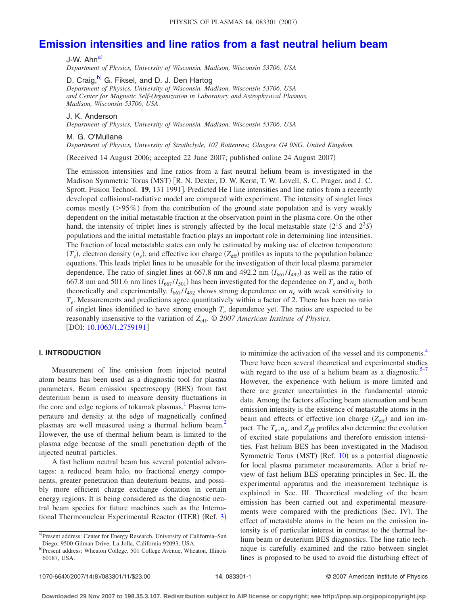# **Emission intensities and line ratios from a fast neutral helium beam**

J-W. Ahn<sup>a)</sup> *Department of Physics, University of Wisconsin, Madison, Wisconsin 53706, USA*

D. Craig,<sup>b)</sup> G. Fiksel, and D. J. Den Hartog

*Department of Physics, University of Wisconsin, Madison, Wisconsin 53706, USA and Center for Magnetic Self-Organization in Laboratory and Astrophysical Plasmas, Madison, Wisconsin 53706, USA*

J. K. Anderson

*Department of Physics, University of Wisconsin, Madison, Wisconsin 53706, USA*

M. G. O'Mullane

*Department of Physics, University of Strathclyde, 107 Rottenrow, Glasgow G4 0NG, United Kingdom*

Received 14 August 2006; accepted 22 June 2007; published online 24 August 2007-

The emission intensities and line ratios from a fast neutral helium beam is investigated in the Madison Symmetric Torus (MST) [R. N. Dexter, D. W. Kerst, T. W. Lovell, S. C. Prager, and J. C. Sprott, Fusion Technol. **19**, 131 1991]. Predicted He I line intensities and line ratios from a recently developed collisional-radiative model are compared with experiment. The intensity of singlet lines comes mostly (>95%) from the contribution of the ground state population and is very weakly dependent on the initial metastable fraction at the observation point in the plasma core. On the other hand, the intensity of triplet lines is strongly affected by the local metastable state  $(2^1S \text{ and } 2^3S)$ populations and the initial metastable fraction plays an important role in determining line intensities. The fraction of local metastable states can only be estimated by making use of electron temperature  $(T_e)$ , electron density  $(n_e)$ , and effective ion charge  $(Z_{\text{eff}})$  profiles as inputs to the population balance equations. This leads triplet lines to be unusable for the investigation of their local plasma parameter dependence. The ratio of singlet lines at 667.8 nm and 492.2 nm  $(I_{667}/I_{492})$  as well as the ratio of 667.8 nm and 501.6 nm lines  $(I_{667}/I_{501})$  has been investigated for the dependence on  $T_e$  and  $n_e$  both theoretically and experimentally.  $I_{667} / I_{492}$  shows strong dependence on  $n_e$  with weak sensitivity to *T<sub>e</sub>*. Measurements and predictions agree quantitatively within a factor of 2. There has been no ratio of singlet lines identified to have strong enough  $T_e$  dependence yet. The ratios are expected to be reasonably insensitive to the variation of  $Z_{\text{eff}}$ . © 2007 American Institute of Physics. [DOI: 10.1063/1.2759191]

# **I. INTRODUCTION**

Measurement of line emission from injected neutral atom beams has been used as a diagnostic tool for plasma parameters. Beam emission spectroscopy (BES) from fast deuterium beam is used to measure density fluctuations in the core and edge regions of tokamak plasmas.<sup>1</sup> Plasma temperature and density at the edge of magnetically confined plasmas are well measured using a thermal helium beam.<sup>2</sup> However, the use of thermal helium beam is limited to the plasma edge because of the small penetration depth of the injected neutral particles.

A fast helium neutral beam has several potential advantages: a reduced beam halo, no fractional energy components, greater penetration than deuterium beams, and possibly more efficient charge exchange donation in certain energy regions. It is being considered as the diagnostic neutral beam species for future machines such as the International Thermonuclear Experimental Reactor (ITER) (Ref. 3)

to minimize the activation of the vessel and its components.<sup>4</sup> There have been several theoretical and experimental studies with regard to the use of a helium beam as a diagnostic. $5\frac{5}{7}$ However, the experience with helium is more limited and there are greater uncertainties in the fundamental atomic data. Among the factors affecting beam attenuation and beam emission intensity is the existence of metastable atoms in the beam and effects of effective ion charge ( $Z_{\text{eff}}$ ) and ion impact. The  $T_e$ ,  $n_e$ , and  $Z_{\text{eff}}$  profiles also determine the evolution of excited state populations and therefore emission intensities. Fast helium BES has been investigated in the Madison Symmetric Torus (MST) (Ref. 10) as a potential diagnostic for local plasma parameter measurements. After a brief review of fast helium BES operating principles in Sec. II, the experimental apparatus and the measurement technique is explained in Sec. III. Theoretical modeling of the beam emission has been carried out and experimental measurements were compared with the predictions (Sec. IV). The effect of metastable atoms in the beam on the emission intensity is of particular interest in contrast to the thermal helium beam or deuterium BES diagnostics. The line ratio technique is carefully examined and the ratio between singlet lines is proposed to be used to avoid the disturbing effect of

a)Present address: Center for Energy Research, University of California–San Diego, 9500 Gilman Drive, La Jolla, California 92093, USA.

b)Present address: Wheaton College, 501 College Avenue, Wheaton, Illinois 60187, USA.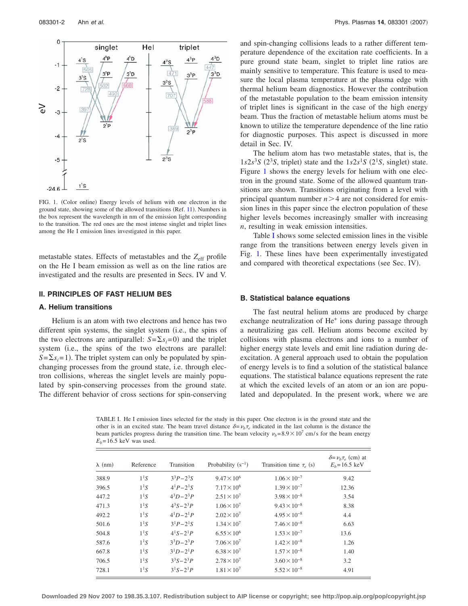

FIG. 1. (Color online) Energy levels of helium with one electron in the ground state, showing some of the allowed transitions (Ref. 11). Numbers in the box represent the wavelength in nm of the emission light corresponding to the transition. The red ones are the most intense singlet and triplet lines among the He I emission lines investigated in this paper.

metastable states. Effects of metastables and the  $Z_{\text{eff}}$  profile on the He I beam emission as well as on the line ratios are investigated and the results are presented in Secs. IV and V.

#### **II. PRINCIPLES OF FAST HELIUM BES**

## **A. Helium transitions**

Helium is an atom with two electrons and hence has two different spin systems, the singlet system (i.e., the spins of the two electrons are antiparallel:  $S = \sum s_i = 0$  and the triplet system (i.e., the spins of the two electrons are parallel:  $S = \sum s_i = 1$ ). The triplet system can only be populated by spinchanging processes from the ground state, i.e. through electron collisions, whereas the singlet levels are mainly populated by spin-conserving processes from the ground state. The different behavior of cross sections for spin-conserving and spin-changing collisions leads to a rather different temperature dependence of the excitation rate coefficients. In a pure ground state beam, singlet to triplet line ratios are mainly sensitive to temperature. This feature is used to measure the local plasma temperature at the plasma edge with thermal helium beam diagnostics. However the contribution of the metastable population to the beam emission intensity of triplet lines is significant in the case of the high energy beam. Thus the fraction of metastable helium atoms must be known to utilize the temperature dependence of the line ratio for diagnostic purposes. This aspect is discussed in more detail in Sec. IV.

The helium atom has two metastable states, that is, the  $1s2s<sup>3</sup>S$  (2<sup>3</sup>S, triplet) state and the  $1s2s<sup>1</sup>S$  (2<sup>1</sup>S, singlet) state. Figure 1 shows the energy levels for helium with one electron in the ground state. Some of the allowed quantum transitions are shown. Transitions originating from a level with principal quantum number  $n > 4$  are not considered for emission lines in this paper since the electron population of these higher levels becomes increasingly smaller with increasing *n*, resulting in weak emission intensities.

Table I shows some selected emission lines in the visible range from the transitions between energy levels given in Fig. 1. These lines have been experimentally investigated and compared with theoretical expectations (see Sec. IV).

#### **B. Statistical balance equations**

The fast neutral helium atoms are produced by charge exchange neutralization of He<sup>+</sup> ions during passage through a neutralizing gas cell. Helium atoms become excited by collisions with plasma electrons and ions to a number of higher energy state levels and emit line radiation during deexcitation. A general approach used to obtain the population of energy levels is to find a solution of the statistical balance equations. The statistical balance equations represent the rate at which the excited levels of an atom or an ion are populated and depopulated. In the present work, where we are

TABLE I. He I emission lines selected for the study in this paper. One electron is in the ground state and the other is in an excited state. The beam travel distance  $\delta = \nu_b \tau_e$  indicated in the last column is the distance the beam particles progress during the transition time. The beam velocity  $\nu_b$ = 8.9×10<sup>7</sup> cm/s for the beam energy  $E<sub>b</sub>=16.5$  keV was used.

| $\lambda$ (nm) | Reference        | Transition        | Probability $(s^{-1})$ | Transition time $\tau_e$ (s) | $\delta = \nu_h \tau_e$ (cm) at<br>$E_b = 16.5 \text{ keV}$ |
|----------------|------------------|-------------------|------------------------|------------------------------|-------------------------------------------------------------|
| 388.9          | 1 <sup>1</sup> S | $3^3P - 2^3S$     | $9.47 \times 10^6$     | $1.06 \times 10^{-7}$        | 9.42                                                        |
| 396.5          | 1 <sup>1</sup> S | $4^{1}P-2^{1}S$   | $7.17 \times 10^6$     | $1.39 \times 10^{-7}$        | 12.36                                                       |
| 447.2          | 1 <sup>1</sup> S | $4^3D - 2^3P$     | $2.51 \times 10^{7}$   | $3.98 \times 10^{-8}$        | 3.54                                                        |
| 471.3          | 1 <sup>1</sup> S | $4^3S - 2^3P$     | $1.06 \times 10^{7}$   | $9.43 \times 10^{-8}$        | 8.38                                                        |
| 492.2          | 1 <sup>1</sup> S | $4^{1}D-2^{1}P$   | $2.02 \times 10^{7}$   | $4.95 \times 10^{-8}$        | 4.4                                                         |
| 501.6          | 1 <sup>1</sup> S | $3^{1}P-2^{1}S$   | $1.34 \times 10^{7}$   | $7.46 \times 10^{-8}$        | 6.63                                                        |
| 504.8          | 1 <sup>1</sup> S | $4^{1}S - 2^{1}P$ | $6.55 \times 10^{6}$   | $1.53 \times 10^{-7}$        | 13.6                                                        |
| 587.6          | 1 <sup>1</sup> S | $3^3D - 2^3P$     | $7.06 \times 10^{7}$   | $1.42 \times 10^{-8}$        | 1.26                                                        |
| 667.8          | 1 <sup>1</sup> S | $3^{1}D-2^{1}P$   | $6.38 \times 10^{7}$   | $1.57 \times 10^{-8}$        | 1.40                                                        |
| 706.5          | 1 <sup>1</sup> S | $3^3S - 2^3P$     | $2.78 \times 10^{7}$   | $3.60 \times 10^{-8}$        | 3.2                                                         |
| 728.1          | 1 <sup>1</sup> S | $3^{1}S - 2^{1}P$ | $1.81 \times 10^{7}$   | $5.52 \times 10^{-8}$        | 4.91                                                        |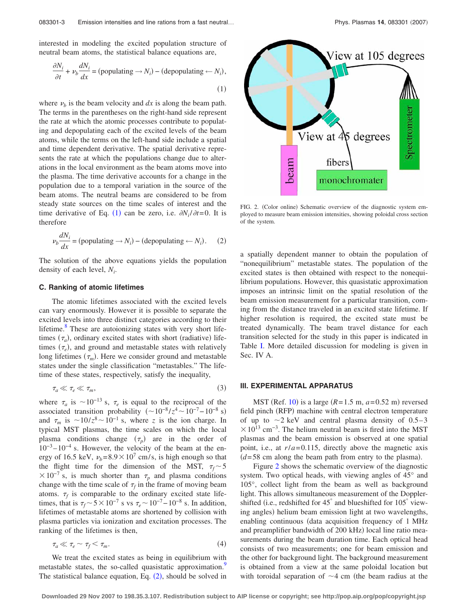interested in modeling the excited population structure of neutral beam atoms, the statistical balance equations are,

$$
\frac{\partial N_i}{\partial t} + \nu_b \frac{dN_i}{dx} = \text{(populating} \rightarrow N_i) - \text{(depopulating} \leftarrow N_i),\tag{1}
$$

where  $\nu_b$  is the beam velocity and  $dx$  is along the beam path. The terms in the parentheses on the right-hand side represent the rate at which the atomic processes contribute to populating and depopulating each of the excited levels of the beam atoms, while the terms on the left-hand side include a spatial and time dependent derivative. The spatial derivative represents the rate at which the populations change due to alterations in the local environment as the beam atoms move into the plasma. The time derivative accounts for a change in the population due to a temporal variation in the source of the beam atoms. The neutral beams are considered to be from steady state sources on the time scales of interest and the time derivative of Eq. (1) can be zero, i.e.  $\partial N_i / \partial t = 0$ . It is therefore

$$
\nu_b \frac{dN_i}{dx} = \text{(populating} \rightarrow N_i) - \text{(depopulating} \leftarrow N_i). \tag{2}
$$

The solution of the above equations yields the population density of each level, *Ni* .

#### **C. Ranking of atomic lifetimes**

The atomic lifetimes associated with the excited levels can vary enormously. However it is possible to separate the excited levels into three distinct categories according to their lifetime. $8$  These are autoionizing states with very short lifetimes  $(\tau_a)$ , ordinary excited states with short (radiative) lifetimes  $(\tau_e)$ , and ground and metastable states with relatively long lifetimes  $(\tau_m)$ . Here we consider ground and metastable states under the single classification "metastables." The lifetime of these states, respectively, satisfy the inequality,

$$
\tau_a \ll \tau_e \ll \tau_m,\tag{3}
$$

where  $\tau_a$  is  $\sim 10^{-13}$  s,  $\tau_e$  is equal to the reciprocal of the associated transition probability  $({\sim}10^{-8}/z^4{\sim}10^{-7}-10^{-8}$  s) and  $\tau_m$  is  $\sim 10/z^8 \sim 10^{-1}$  s, where *z* is the ion charge. In typical MST plasmas, the time scales on which the local plasma conditions change  $(\tau_p)$  are in the order of  $10^{-3}$  –  $10^{-4}$  s. However, the velocity of the beam at the energy of 16.5 keV,  $v_b = 8.9 \times 10^7$  cm/s, is high enough so that the flight time for the dimension of the MST,  $\tau_f \sim 5$  $\times 10^{-7}$  s, is much shorter than  $\tau_p$  and plasma conditions change with the time scale of  $\tau_f$  in the frame of moving beam atoms.  $\tau_f$  is comparable to the ordinary excited state lifetimes, that is  $\tau_f \sim 5 \times 10^{-7}$  s vs  $\tau_e \sim 10^{-7} - 10^{-8}$  s. In addition, lifetimes of metastable atoms are shortened by collision with plasma particles via ionization and excitation processes. The ranking of the lifetimes is then,

$$
\tau_a \ll \tau_e \sim \tau_f \lt \tau_m. \tag{4}
$$

We treat the excited states as being in equilibrium with metastable states, the so-called quasistatic approximation.<sup>9</sup> The statistical balance equation, Eq.  $(2)$ , should be solved in



FIG. 2. (Color online) Schematic overview of the diagnostic system employed to measure beam emission intensities, showing poloidal cross section of the system.

a spatially dependent manner to obtain the population of "nonequilibrium" metastable states. The population of the excited states is then obtained with respect to the nonequilibrium populations. However, this quasistatic approximation imposes an intrinsic limit on the spatial resolution of the beam emission measurement for a particular transition, coming from the distance traveled in an excited state lifetime. If higher resolution is required, the excited state must be treated dynamically. The beam travel distance for each transition selected for the study in this paper is indicated in Table I. More detailed discussion for modeling is given in Sec. IV A.

# **III. EXPERIMENTAL APPARATUS**

MST (Ref. 10) is a large  $(R=1.5 \text{ m}, a=0.52 \text{ m})$  reversed field pinch (RFP) machine with central electron temperature of up to  $\sim$ 2 keV and central plasma density of 0.5–3  $\times$  10<sup>13</sup> cm<sup>-3</sup>. The helium neutral beam is fired into the MST plasmas and the beam emission is observed at one spatial point, i.e., at  $r/a = 0.115$ , directly above the magnetic axis  $(d=58$  cm along the beam path from entry to the plasma).

Figure 2 shows the schematic overview of the diagnostic system. Two optical heads, with viewing angles of 45° and 105°, collect light from the beam as well as background light. This allows simultaneous measurement of the Dopplershifted (i.e., redshifted for 45° and blueshifted for 105° viewing angles) helium beam emission light at two wavelengths, enabling continuous data acquisition frequency of 1 MHz and preamplifier bandwidth of 200 kHz) local line ratio measurements during the beam duration time. Each optical head consists of two measurements; one for beam emission and the other for background light. The background measurement is obtained from a view at the same poloidal location but with toroidal separation of  $\sim$ 4 cm (the beam radius at the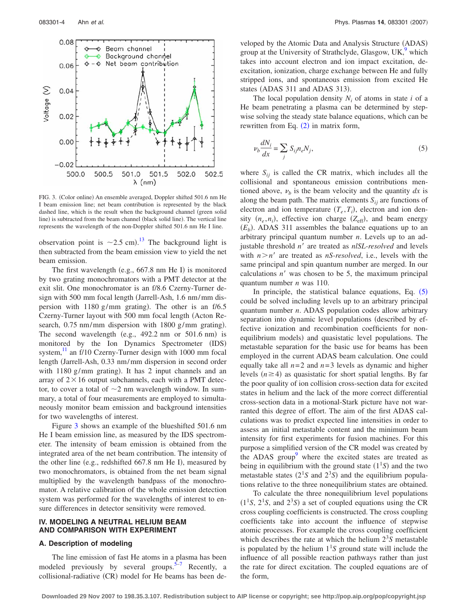

FIG. 3. (Color online) An ensemble averaged, Doppler shifted 501.6 nm He I beam emission line; net beam contribution is represented by the black dashed line, which is the result when the background channel (green solid line) is subtracted from the beam channel (black solid line). The vertical line represents the wavelength of the non-Doppler shifted 501.6 nm He I line.

observation point is  $\sim$ 2.5 cm).<sup>13</sup> The background light is then subtracted from the beam emission view to yield the net beam emission.

The first wavelength (e.g., 667.8 nm He I) is monitored by two grating monochromators with a PMT detector at the exit slit. One monochromator is an f/8.6 Czerny-Turner design with 500 mm focal length (Jarrell-Ash, 1.6 nm/mm dispersion with  $1180$  g/mm grating). The other is an f/6.5 Czerny-Turner layout with 500 mm focal length (Acton Research, 0.75 nm/mm dispersion with 1800 g/mm grating). The second wavelength (e.g.,  $492.2$  nm or  $501.6$  nm) is monitored by the Ion Dynamics Spectrometer (IDS) system, $\frac{11}{11}$  an f/10 Czerny-Turner design with 1000 mm focal length Jarrell-Ash, 0.33 nm/mm dispersion in second order with 1180 g/mm grating). It has 2 input channels and an array of  $2 \times 16$  output subchannels, each with a PMT detector, to cover a total of  $\sim$ 2 nm wavelength window. In summary, a total of four measurements are employed to simultaneously monitor beam emission and background intensities for two wavelengths of interest.

Figure 3 shows an example of the blueshifted 501.6 nm He I beam emission line, as measured by the IDS spectrometer. The intensity of beam emission is obtained from the integrated area of the net beam contribution. The intensity of the other line (e.g., redshifted 667.8 nm He I), measured by two monochromators, is obtained from the net beam signal multiplied by the wavelength bandpass of the monochromator. A relative calibration of the whole emission detection system was performed for the wavelengths of interest to ensure differences in detector sensitivity were removed.

# **IV. MODELING A NEUTRAL HELIUM BEAM AND COMPARISON WITH EXPERIMENT**

# **A. Description of modeling**

The line emission of fast He atoms in a plasma has been modeled previously by several groups.<sup>5–7</sup> Recently, a collisional-radiative (CR) model for He beams has been de-

veloped by the Atomic Data and Analysis Structure (ADAS) group at the University of Strathclyde, Glasgow, UK,<sup>9</sup> which takes into account electron and ion impact excitation, deexcitation, ionization, charge exchange between He and fully stripped ions, and spontaneous emission from excited He states (ADAS 311 and ADAS 313).

The local population density  $N_i$  of atoms in state  $i$  of a He beam penetrating a plasma can be determined by stepwise solving the steady state balance equations, which can be rewritten from Eq.  $(2)$  in matrix form,

$$
\nu_b \frac{dN_i}{dx} = \sum_j S_{ij} n_e N_j,\tag{5}
$$

where  $S_{ii}$  is called the CR matrix, which includes all the collisional and spontaneous emission contributions mentioned above,  $\nu_h$  is the beam velocity and the quantity  $dx$  is along the beam path. The matrix elements  $S_{ii}$  are functions of electron and ion temperature  $(T_e, T_i)$ , electron and ion density  $(n_e, n_i)$ , effective ion charge  $(Z_{\text{eff}})$ , and beam energy  $(E_b)$ . ADAS 311 assembles the balance equations up to an arbitrary principal quantum number *n*. Levels up to an adjustable threshold *n'* are treated as *nlSL-resolved* and levels with  $n > n'$  are treated as *nS-resolved*, i.e., levels with the same principal and spin quantum number are merged. In our calculations  $n'$  was chosen to be 5, the maximum principal quantum number *n* was 110.

In principle, the statistical balance equations, Eq.  $(5)$ could be solved including levels up to an arbitrary principal quantum number *n*. ADAS population codes allow arbitrary separation into dynamic level populations (described by effective ionization and recombination coefficients for nonequilibrium models) and quasistatic level populations. The metastable separation for the basic use for beams has been employed in the current ADAS beam calculation. One could equally take all  $n=2$  and  $n=3$  levels as dynamic and higher levels  $(n \geq 4)$  as quasistatic for short spatial lengths. By far the poor quality of ion collision cross-section data for excited states in helium and the lack of the more correct differential cross-section data in a motional-Stark picture have not warranted this degree of effort. The aim of the first ADAS calculations was to predict expected line intensities in order to assess an initial metastable content and the minimum beam intensity for first experiments for fusion machines. For this purpose a simplified version of the CR model was created by the ADAS group<sup>9</sup> where the excited states are treated as being in equilibrium with the ground state  $(1<sup>1</sup>S)$  and the two metastable states  $(2<sup>1</sup>S$  and  $2<sup>3</sup>S)$  and the equilibrium populations relative to the three nonequilibrium states are obtained.

To calculate the three nonequilibrium level populations  $(1<sup>1</sup>S, 2<sup>1</sup>S, and 2<sup>3</sup>S)$  a set of coupled equations using the CR cross coupling coefficients is constructed. The cross coupling coefficients take into account the influence of stepwise atomic processes. For example the cross coupling coefficient which describes the rate at which the helium  $2<sup>3</sup>S$  metastable is populated by the helium  $1<sup>1</sup>S$  ground state will include the influence of all possible reaction pathways rather than just the rate for direct excitation. The coupled equations are of the form,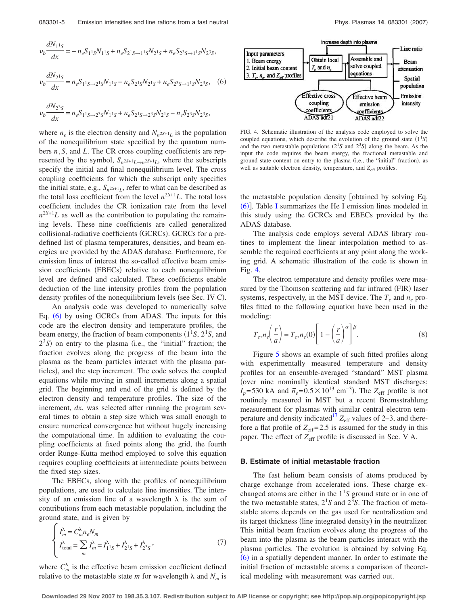$$
\nu_b \frac{dN_1 s}{dx} = -n_e S_{11S} N_{11S} + n_e S_{21S \to 11S} N_{21S} + n_e S_{23S \to 11S} N_{23S},
$$
  

$$
\nu_b \frac{dN_{21S}}{dx} = n_e S_{11S \to 21S} N_{11S} - n_e S_{21S} N_{21S} + n_e S_{23S \to 11S} N_{23S},
$$
 (6)

$$
\nu_b \frac{dN_{2^3S}}{dx} = n_e S_{1^1S \to 2^3S} N_{1^1S} + n_e S_{2^1S \to 2^3S} N_{2^1S} - n_e S_{2^3S} N_{2^3S},
$$

where  $n_e$  is the electron density and  $N_{n^{2S+1}L}$  is the population of the nonequilibrium state specified by the quantum numbers *n*,*S*, and *L*. The CR cross coupling coefficients are represented by the symbol,  $S_n 2S+1}L \rightarrow n^{2S+1}L$ , where the subscripts specify the initial and final nonequilibrium level. The cross coupling coefficients for which the subscript only specifies the initial state, e.g.,  $S_n$ <sup>25+1</sup>*L*, refer to what can be described as the total loss coefficient from the level  $n^{2S+1}L$ . The total loss coefficient includes the CR ionization rate from the level  $n^{2S+1}L$  as well as the contribution to populating the remaining levels. These nine coefficients are called generalized collisional-radiative coefficients (GCRCs). GCRCs for a predefined list of plasma temperatures, densities, and beam energies are provided by the ADAS database. Furthermore, for emission lines of interest the so-called effective beam emission coefficients (EBECs) relative to each nonequilibrium level are defined and calculated. These coefficients enable deduction of the line intensity profiles from the population density profiles of the nonequilibrium levels (see Sec. IV C).

An analysis code was developed to numerically solve Eq. (6) by using GCRCs from ADAS. The inputs for this code are the electron density and temperature profiles, the beam energy, the fraction of beam components  $(1<sup>1</sup>S, 2<sup>1</sup>S,$  and  $2<sup>3</sup>S$ ) on entry to the plasma (i.e., the "initial" fraction; the fraction evolves along the progress of the beam into the plasma as the beam particles interact with the plasma particles), and the step increment. The code solves the coupled equations while moving in small increments along a spatial grid. The beginning and end of the grid is defined by the electron density and temperature profiles. The size of the increment, *dx*, was selected after running the program several times to obtain a step size which was small enough to ensure numerical convergence but without hugely increasing the computational time. In addition to evaluating the coupling coefficients at fixed points along the grid, the fourth order Runge-Kutta method employed to solve this equation requires coupling coefficients at intermediate points between the fixed step sizes.

The EBECs, along with the profiles of nonequilibrium populations, are used to calculate line intensities. The intensity of an emission line of a wavelength  $\lambda$  is the sum of contributions from each metastable population, including the ground state, and is given by

$$
\begin{cases}\nI_m^{\lambda} = C_m^{\lambda} n_e N_m \\
I_{\text{total}}^{\lambda} = \sum_m I_m^{\lambda} = I_{11S}^{\lambda} + I_{21S}^{\lambda} + I_{23S}^{\lambda}\n\end{cases} (7)
$$

where  $C_m^{\lambda}$  is the effective beam emission coefficient defined relative to the metastable state *m* for wavelength  $\lambda$  and  $N_m$  is



FIG. 4. Schematic illustration of the analysis code employed to solve the coupled equations, which describe the evolution of the ground state  $(1^1S)$ and the two metastable populations  $(2<sup>1</sup>S$  and  $2<sup>3</sup>S)$  along the beam. As the input the code requires the beam energy, the fractional metastable and ground state content on entry to the plasma (i.e., the "initial" fraction), as well as suitable electron density, temperature, and  $Z_{\text{eff}}$  profiles.

the metastable population density [obtained by solving Eq. (6)]. Table I summarizes the He I emission lines modeled in this study using the GCRCs and EBECs provided by the ADAS database.

The analysis code employs several ADAS library routines to implement the linear interpolation method to assemble the required coefficients at any point along the working grid. A schematic illustration of the code is shown in Fig. 4.

The electron temperature and density profiles were measured by the Thomson scattering and far infrared (FIR) laser systems, respectively, in the MST device. The  $T_e$  and  $n_e$  profiles fitted to the following equation have been used in the modeling:

$$
T_e, n_e\left(\frac{r}{a}\right) = T_e, n_e(0)\left[1 - \left(\frac{r}{a}\right)^{\alpha}\right]^{\beta}.
$$
 (8)

Figure 5 shows an example of such fitted profiles along with experimentally measured temperature and density profiles for an ensemble-averaged "standard" MST plasma (over nine nominally identical standard MST discharges;  $I_p$ = 530 kA and  $\bar{n}_e$ = 0.5 × 10<sup>13</sup> cm<sup>-3</sup>). The  $Z_{eff}$  profile is not routinely measured in MST but a recent Bremsstrahlung measurement for plasmas with similar central electron temperature and density indicated<sup>17</sup>  $Z_{\text{eff}}$  values of 2–3, and therefore a flat profile of  $Z_{\text{eff}}$ = 2.5 is assumed for the study in this paper. The effect of Z<sub>eff</sub> profile is discussed in Sec. V A.

#### **B. Estimate of initial metastable fraction**

The fast helium beam consists of atoms produced by charge exchange from accelerated ions. These charge exchanged atoms are either in the  $1<sup>1</sup>S$  ground state or in one of the two metastable states,  $2<sup>1</sup>S$  and  $2<sup>3</sup>S$ . The fraction of metastable atoms depends on the gas used for neutralization and its target thickness (line integrated density) in the neutralizer. This initial beam fraction evolves along the progress of the beam into the plasma as the beam particles interact with the plasma particles. The evolution is obtained by solving Eq. (6) in a spatially dependent manner. In order to estimate the initial fraction of metastable atoms a comparison of theoretical modeling with measurement was carried out.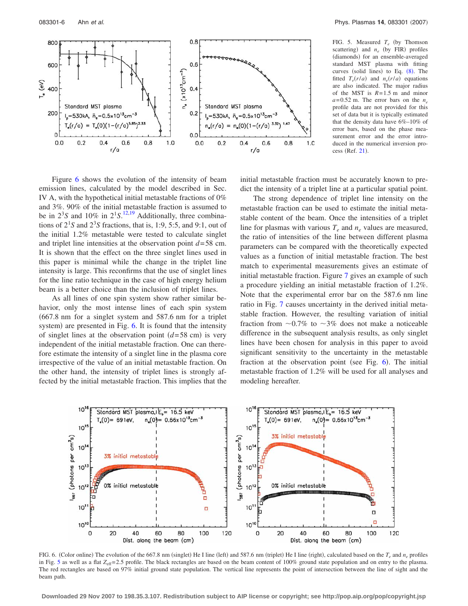

FIG. 5. Measured  $T_e$  (by Thomson scattering) and  $n_e$  (by FIR) profiles (diamonds) for an ensemble-averaged standard MST plasma with fitting curves (solid lines) to Eq.  $(8)$ . The fitted  $T_e(r/a)$  and  $n_e(r/a)$  equations are also indicated. The major radius of the MST is *R*= 1.5 m and minor  $a = 0.52$  m. The error bars on the  $n_e$ profile data are not provided for this set of data but it is typically estimated that the density data have 6%–10% of error bars, based on the phase measurement error and the error introduced in the numerical inversion process (Ref. 21).

Figure 6 shows the evolution of the intensity of beam emission lines, calculated by the model described in Sec. IV A, with the hypothetical initial metastable fractions of 0% and 3%. 90% of the initial metastable fraction is assumed to be in  $2^3S$  and  $10\%$  in  $2^1S$ .<sup>12,19</sup> Additionally, three combinations of  $2<sup>1</sup>S$  and  $2<sup>3</sup>S$  fractions, that is, 1:9, 5:5, and 9:1, out of the initial 1.2% metastable were tested to calculate singlet and triplet line intensities at the observation point *d*= 58 cm. It is shown that the effect on the three singlet lines used in this paper is minimal while the change in the triplet line intensity is large. This reconfirms that the use of singlet lines for the line ratio technique in the case of high energy helium beam is a better choice than the inclusion of triplet lines.

As all lines of one spin system show rather similar behavior, only the most intense lines of each spin system 667.8 nm for a singlet system and 587.6 nm for a triplet system) are presented in Fig. 6. It is found that the intensity of singlet lines at the observation point  $(d=58 \text{ cm})$  is very independent of the initial metastable fraction. One can therefore estimate the intensity of a singlet line in the plasma core irrespective of the value of an initial metastable fraction. On the other hand, the intensity of triplet lines is strongly affected by the initial metastable fraction. This implies that the initial metastable fraction must be accurately known to predict the intensity of a triplet line at a particular spatial point.

The strong dependence of triplet line intensity on the metastable fraction can be used to estimate the initial metastable content of the beam. Once the intensities of a triplet line for plasmas with various  $T_e$  and  $n_e$  values are measured, the ratio of intensities of the line between different plasma parameters can be compared with the theoretically expected values as a function of initial metastable fraction. The best match to experimental measurements gives an estimate of initial metastable fraction. Figure 7 gives an example of such a procedure yielding an initial metastable fraction of 1.2%. Note that the experimental error bar on the 587.6 nm line ratio in Fig. 7 causes uncertainty in the derived initial metastable fraction. However, the resulting variation of initial fraction from  $\sim 0.7\%$  to  $\sim 3\%$  does not make a noticeable difference in the subsequent analysis results, as only singlet lines have been chosen for analysis in this paper to avoid significant sensitivity to the uncertainty in the metastable fraction at the observation point (see Fig. 6). The initial metastable fraction of 1.2% will be used for all analyses and modeling hereafter.



FIG. 6. (Color online) The evolution of the 667.8 nm (singlet) He I line (left) and 587.6 nm (triplet) He I line (right), calculated based on the  $T_e$  and  $n_e$  profiles in Fig. 5 as well as a flat  $Z_{\text{eff}}$ = 2.5 profile. The black rectangles are based on the beam content of 100% ground state population and on entry to the plasma. The red rectangles are based on 97% initial ground state population. The vertical line represents the point of intersection between the line of sight and the beam path.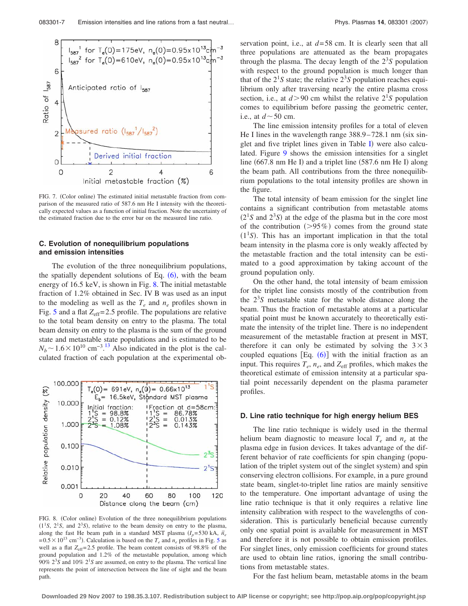

FIG. 7. (Color online) The estimated initial metastable fraction from comparison of the measured ratio of 587.6 nm He I intensity with the theoretically expected values as a function of initial fraction. Note the uncertainty of the estimated fraction due to the error bar on the measured line ratio.

## **C. Evolution of nonequilibrium populations and emission intensities**

The evolution of the three nonequilibrium populations, the spatially dependent solutions of Eq.  $(6)$ , with the beam energy of 16.5 keV, is shown in Fig. 8. The initial metastable fraction of 1.2% obtained in Sec. IV B was used as an input to the modeling as well as the  $T_e$  and  $n_e$  profiles shown in Fig. 5 and a flat  $Z_{\text{eff}}$  = 2.5 profile. The populations are relative to the total beam density on entry to the plasma. The total beam density on entry to the plasma is the sum of the ground state and metastable state populations and is estimated to be  $N_b \sim 1.6 \times 10^{10}$  cm<sup>-3</sup>.<sup>13</sup> Also indicated in the plot is the calculated fraction of each population at the experimental ob-



FIG. 8. (Color online) Evolution of the three nonequilibrium populations  $(1<sup>1</sup>S, 2<sup>1</sup>S, and 2<sup>3</sup>S),$  relative to the beam density on entry to the plasma, along the fast He beam path in a standard MST plasma  $(I_p = 530 \text{ kA}, \bar{n}_e$  $= 0.5 \times 10^{13}$  cm<sup>-3</sup>). Calculation is based on the *T<sub>e</sub>* and *n<sub>e</sub>* profiles in Fig. 5 as well as a flat  $Z_{\text{eff}}$ = 2.5 profile. The beam content consists of 98.8% of the ground population and 1.2% of the metastable population, among which  $90\%$   $2^3S$  and  $10\%$   $2^1S$  are assumed, on entry to the plasma. The vertical line represents the point of intersection between the line of sight and the beam path.

servation point, i.e., at *d*= 58 cm. It is clearly seen that all three populations are attenuated as the beam propagates through the plasma. The decay length of the  $2<sup>3</sup>S$  population with respect to the ground population is much longer than that of the  $2<sup>1</sup>S$  state; the relative  $2<sup>3</sup>S$  population reaches equilibrium only after traversing nearly the entire plasma cross section, i.e., at  $d > 90$  cm whilst the relative  $2^{1}S$  population comes to equilibrium before passing the geometric center, i.e., at  $d \sim 50$  cm.

The line emission intensity profiles for a total of eleven He I lines in the wavelength range  $388.9 - 728.1$  nm (six singlet and five triplet lines given in Table I) were also calculated. Figure 9 shows the emission intensities for a singlet line (667.8 nm He I) and a triplet line (587.6 nm He I) along the beam path. All contributions from the three nonequilibrium populations to the total intensity profiles are shown in the figure.

The total intensity of beam emission for the singlet line contains a significant contribution from metastable atoms  $(2<sup>1</sup>S$  and  $2<sup>3</sup>S)$  at the edge of the plasma but in the core most of the contribution  $(>\!95\%)$  comes from the ground state  $(1<sup>1</sup>S)$ . This has an important implication in that the total beam intensity in the plasma core is only weakly affected by the metastable fraction and the total intensity can be estimated to a good approximation by taking account of the ground population only.

On the other hand, the total intensity of beam emission for the triplet line consists mostly of the contribution from the  $2<sup>3</sup>S$  metastable state for the whole distance along the beam. Thus the fraction of metastable atoms at a particular spatial point must be known accurately to theoretically estimate the intensity of the triplet line. There is no independent measurement of the metastable fraction at present in MST, therefore it can only be estimated by solving the  $3\times3$ coupled equations  $[Eq. (6)]$  with the initial fraction as an input. This requires  $T_e$ ,  $n_e$ , and  $Z_{\text{eff}}$  profiles, which makes the theoretical estimate of emission intensity at a particular spatial point necessarily dependent on the plasma parameter profiles.

#### **D. Line ratio technique for high energy helium BES**

The line ratio technique is widely used in the thermal helium beam diagnostic to measure local  $T_e$  and  $n_e$  at the plasma edge in fusion devices. It takes advantage of the different behavior of rate coefficients for spin changing (population of the triplet system out of the singlet system) and spin conserving electron collisions. For example, in a pure ground state beam, singlet-to-triplet line ratios are mainly sensitive to the temperature. One important advantage of using the line ratio technique is that it only requires a relative line intensity calibration with respect to the wavelengths of consideration. This is particularly beneficial because currently only one spatial point is available for measurement in MST and therefore it is not possible to obtain emission profiles. For singlet lines, only emission coefficients for ground states are used to obtain line ratios, ignoring the small contributions from metastable states.

For the fast helium beam, metastable atoms in the beam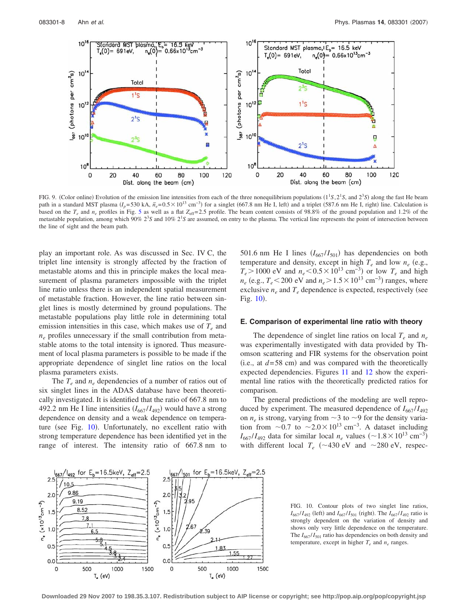

FIG. 9. (Color online) Evolution of the emission line intensities from each of the three nonequilibrium populations  $(1^1S, 2^1S,$  and  $2^3S)$  along the fast He beam path in a standard MST plasma  $(I_p=530 \text{ kA}, \bar{n}_e=0.5\times10^{13} \text{ cm}^{-3})$  for a singlet (667.8 nm He I, left) and a triplet (587.6 nm He I, right) line. Calculation is based on the  $T_e$  and  $n_e$  profiles in Fig. 5 as well as a flat  $Z_{\text{eff}}$  = 2.5 profile. The beam content consists of 98.8% of the ground population and 1.2% of the metastable population, among which 90%  $2^3S$  and 10%  $2^1S$  are assumed, on entry to the plasma. The vertical line represents the point of intersection between the line of sight and the beam path.

play an important role. As was discussed in Sec. IV C, the triplet line intensity is strongly affected by the fraction of metastable atoms and this in principle makes the local measurement of plasma parameters impossible with the triplet line ratio unless there is an independent spatial measurement of metastable fraction. However, the line ratio between singlet lines is mostly determined by ground populations. The metastable populations play little role in determining total emission intensities in this case, which makes use of  $T_e$  and *ne* profiles unnecessary if the small contribution from metastable atoms to the total intensity is ignored. Thus measurement of local plasma parameters is possible to be made if the appropriate dependence of singlet line ratios on the local plasma parameters exists.

The  $T_e$  and  $n_e$  dependencies of a number of ratios out of six singlet lines in the ADAS database have been theoretically investigated. It is identified that the ratio of 667.8 nm to 492.2 nm He I line intensities  $(I_{667}/I_{492})$  would have a strong dependence on density and a weak dependence on temperature (see Fig. 10). Unfortunately, no excellent ratio with strong temperature dependence has been identified yet in the range of interest. The intensity ratio of 667.8 nm to

501.6 nm He I lines  $(I_{667}/I_{501})$  has dependencies on both temperature and density, except in high  $T_e$  and low  $n_e$  (e.g.,  $T_e > 1000$  eV and  $n_e < 0.5 \times 10^{13}$  cm<sup>-3</sup>) or low  $T_e$  and high  $n_e$  (e.g.,  $T_e$  < 200 eV and  $n_e$  > 1.5 × 10<sup>13</sup> cm<sup>-3</sup>) ranges, where exclusive  $n_e$  and  $T_e$  dependence is expected, respectively (see Fig.  $10$ ).

### **E. Comparison of experimental line ratio with theory**

The dependence of singlet line ratios on local  $T_e$  and  $n_e$ was experimentally investigated with data provided by Thomson scattering and FIR systems for the observation point  $(i.e., at  $d=58 \text{ cm}$ ) and was compared with the theoretically$ expected dependencies. Figures 11 and 12 show the experimental line ratios with the theoretically predicted ratios for comparison.

The general predictions of the modeling are well reproduced by experiment. The measured dependence of  $I_{667}/I_{492}$ on  $n_e$  is strong, varying from  $\sim$ 3 to  $\sim$ 9 for the density variation from  $\sim$ 0.7 to  $\sim$ 2.0×10<sup>13</sup> cm<sup>-3</sup>. A dataset including  $I_{667}/I_{492}$  data for similar local *n<sub>e</sub>* values (~1.8 × 10<sup>13</sup> cm<sup>-3</sup>) with different local  $T_e$  (~430 eV and ~280 eV, respec-



FIG. 10. Contour plots of two singlet line ratios,  $I_{667} / I_{492}$  (left) and  $I_{667} / I_{501}$  (right). The  $I_{667} / I_{492}$  ratio is strongly dependent on the variation of density and shows only very little dependence on the temperature. The  $I_{667}/I_{501}$  ratio has dependencies on both density and temperature, except in higher  $T_e$  and  $n_e$  ranges.

**Downloaded 29 Nov 2007 to 198.35.3.107. Redistribution subject to AIP license or copyright; see http://pop.aip.org/pop/copyright.jsp**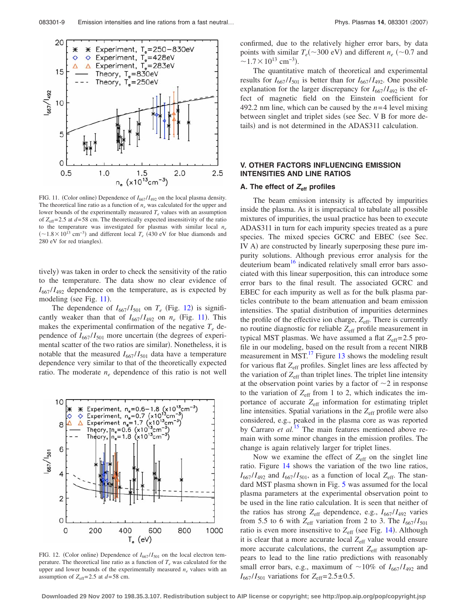

FIG. 11. (Color online) Dependence of  $I_{667} / I_{492}$  on the local plasma density. The theoretical line ratio as a function of  $n_e$  was calculated for the upper and lower bounds of the experimentally measured  $T_e$  values with an assumption of  $Z_{\text{eff}}$ = 2.5 at  $d$  = 58 cm. The theoretically expected insensitivity of the ratio to the temperature was investigated for plasmas with similar local *ne*  $($ ∼1.8 × 10<sup>13</sup> cm<sup>-3</sup>) and different local  $T_e$  (430 eV for blue diamonds and 280 eV for red triangles).

tively) was taken in order to check the sensitivity of the ratio to the temperature. The data show no clear evidence of  $I_{667}/I_{492}$  dependence on the temperature, as is expected by modeling (see Fig. 11).

The dependence of  $I_{667}/I_{501}$  on  $T_e$  (Fig. 12) is significantly weaker than that of  $I_{667}/I_{492}$  on  $n_e$  (Fig. 11). This makes the experimental confirmation of the negative  $T_e$  dependence of  $I_{667}/I_{501}$  more uncertain (the degrees of experimental scatter of the two ratios are similar). Nonetheless, it is notable that the measured  $I_{667}/I_{501}$  data have a temperature dependence very similar to that of the theoretically expected ratio. The moderate  $n_e$  dependence of this ratio is not well



FIG. 12. (Color online) Dependence of  $I_{667} / I_{501}$  on the local electron temperature. The theoretical line ratio as a function of  $T_e$  was calculated for the upper and lower bounds of the experimentally measured  $n_e$  values with an assumption of  $Z_{\text{eff}}$ =2.5 at  $d$ =58 cm.

confirmed, due to the relatively higher error bars, by data points with similar  $T_e(\sim 300 \text{ eV})$  and different  $n_e$  ( $\sim 0.7$  and  $\sim$ 1.7 × 10<sup>13</sup> cm<sup>-3</sup>).

The quantitative match of theoretical and experimental results for  $I_{667}/I_{501}$  is better than for  $I_{667}/I_{492}$ . One possible explanation for the larger discrepancy for  $I_{667}/I_{492}$  is the effect of magnetic field on the Einstein coefficient for 492.2 nm line, which can be caused by the  $n=4$  level mixing between singlet and triplet sides (see Sec. V B for more details) and is not determined in the ADAS311 calculation.

## **V. OTHER FACTORS INFLUENCING EMISSION INTENSITIES AND LINE RATIOS**

#### **A. The effect of** *Z***eff profiles**

The beam emission intensity is affected by impurities inside the plasma. As it is impractical to tabulate all possible mixtures of impurities, the usual practice has been to execute ADAS311 in turn for each impurity species treated as a pure species. The mixed species GCRC and EBEC (see Sec. IV A) are constructed by linearly superposing these pure impurity solutions. Although previous error analysis for the deuterium beam<sup>16</sup> indicated relatively small error bars associated with this linear superposition, this can introduce some error bars to the final result. The associated GCRC and EBEC for each impurity as well as for the bulk plasma particles contribute to the beam attenuation and beam emission intensities. The spatial distribution of impurities determines the profile of the effective ion charge,  $Z_{\text{eff}}$ . There is currently no routine diagnostic for reliable  $Z_{\text{eff}}$  profile measurement in typical MST plasmas. We have assumed a flat  $Z_{\text{eff}}$  = 2.5 profile in our modeling, based on the result from a recent NIRB measurement in MST. $^{17}$  Figure 13 shows the modeling result for various flat *Z*eff profiles. Singlet lines are less affected by the variation of  $Z_{\text{eff}}$  than triplet lines. The triplet line intensity at the observation point varies by a factor of  $\sim$  2 in response to the variation of  $Z_{\text{eff}}$  from 1 to 2, which indicates the importance of accurate  $Z_{\text{eff}}$  information for estimating triplet line intensities. Spatial variations in the *Z*eff profile were also considered, e.g., peaked in the plasma core as was reported by Carraro *et al.*<sup>15</sup> The main features mentioned above remain with some minor changes in the emission profiles. The change is again relatively larger for triplet lines.

Now we examine the effect of  $Z_{\text{eff}}$  on the singlet line ratio. Figure 14 shows the variation of the two line ratios,  $I_{667}/I_{492}$  and  $I_{667}/I_{501}$ , as a function of local  $Z_{\text{eff}}$ . The standard MST plasma shown in Fig. 5 was assumed for the local plasma parameters at the experimental observation point to be used in the line ratio calculation. It is seen that neither of the ratios has strong  $Z_{\text{eff}}$  dependence, e.g.,  $I_{667}/I_{492}$  varies from 5.5 to 6 with  $Z_{\text{eff}}$  variation from 2 to 3. The  $I_{667}/I_{501}$ ratio is even more insensitive to Z<sub>eff</sub> (see Fig. 14). Although it is clear that a more accurate local Z<sub>eff</sub> value would ensure more accurate calculations, the current  $Z_{\text{eff}}$  assumption appears to lead to the line ratio predictions with reasonably small error bars, e.g., maximum of  $\sim 10\%$  of  $I_{667} / I_{492}$  and  $I_{667}/I_{501}$  variations for  $Z_{eff} = 2.5 \pm 0.5$ .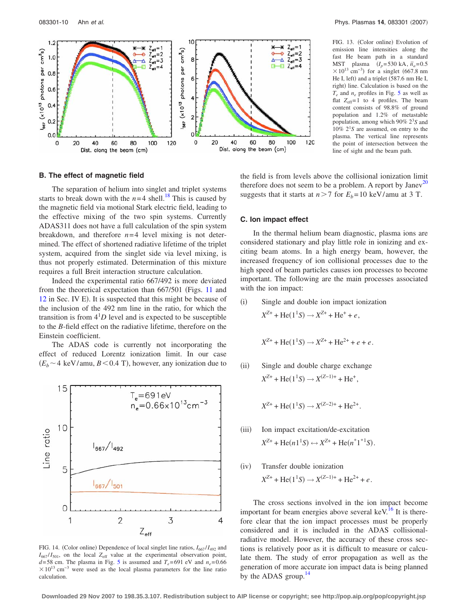

FIG. 13. (Color online) Evolution of emission line intensities along the fast He beam path in a standard MST plasma  $(I_p = 530 \text{ kA}, \bar{n}_a = 0.5$  $\times$ 10<sup>13</sup> cm<sup>-3</sup>) for a singlet (667.8 nm He I, left) and a triplet (587.6 nm He I, right) line. Calculation is based on the *Te* and *ne* profiles in Fig. 5 as well as flat  $Z_{\text{eff}}=1$  to 4 profiles. The beam content consists of 98.8% of ground population and 1.2% of metastable population, among which 90% 2<sup>3</sup> *S* and  $10\%$   $2^1S$  are assumed, on entry to the plasma. The vertical line represents the point of intersection between the line of sight and the beam path.

# **B. The effect of magnetic field**

The separation of helium into singlet and triplet systems starts to break down with the  $n=4$  shell.<sup>18</sup> This is caused by the magnetic field via motional Stark electric field, leading to the effective mixing of the two spin systems. Currently ADAS311 does not have a full calculation of the spin system breakdown, and therefore  $n=4$  level mixing is not determined. The effect of shortened radiative lifetime of the triplet system, acquired from the singlet side via level mixing, is thus not properly estimated. Determination of this mixture requires a full Breit interaction structure calculation.

Indeed the experimental ratio 667/492 is more deviated from the theoretical expectation than  $667/501$  (Figs. 11 and 12 in Sec. IV E). It is suspected that this might be because of the inclusion of the 492 nm line in the ratio, for which the transition is from  $4<sup>1</sup>D$  level and is expected to be susceptible to the *B*-field effect on the radiative lifetime, therefore on the Einstein coefficient.

The ADAS code is currently not incorporating the effect of reduced Lorentz ionization limit. In our case  $(E_b \sim 4 \text{ keV/amu}, B \leq 0.4 \text{ T}),$  however, any ionization due to



FIG. 14. (Color online) Dependence of local singlet line ratios,  $I_{667} / I_{492}$  and  $I_{667}/I_{501}$ , on the local  $Z_{eff}$  value at the experimental observation point,  $d = 58$  cm. The plasma in Fig. 5 is assumed and  $T_e = 691$  eV and  $n_e = 0.66$  $\times$ 10<sup>13</sup> cm<sup>-3</sup> were used as the local plasma parameters for the line ratio calculation.

the field is from levels above the collisional ionization limit therefore does not seem to be a problem. A report by  $Janev^{20}$ suggests that it starts at  $n > 7$  for  $E_b = 10$  keV/amu at 3 T.

#### **C. Ion impact effect**

In the thermal helium beam diagnostic, plasma ions are considered stationary and play little role in ionizing and exciting beam atoms. In a high energy beam, however, the increased frequency of ion collisional processes due to the high speed of beam particles causes ion processes to become important. The following are the main processes associated with the ion impact:

 $(i)$  Single and double ion impact ionization  $X^{Z+}$  + He(1<sup>1</sup>S)  $\rightarrow$   $X^{Z+}$  + He<sup>+</sup> + *e*,

$$
X^{Z+} + \text{He}(1^1S) \to X^{Z+} + \text{He}^{2+} + e + e.
$$

 $(ii)$  Single and double charge exchange  $X^{Z+}$  + He(1<sup>1</sup>S)  $\rightarrow$   $X^{(Z-1)+}$  + He<sup>+</sup>,

 $X^{Z+}$  + He(1<sup>1</sup>S)  $\rightarrow$   $X^{(Z-2)+}$  + He<sup>2+</sup>.

- $(iii)$  Ion impact excitation/de-excitation  $X^{Z+}$  + He $(n1^1S) \leftrightarrow X^{Z+}$  + He $(n^*1^{*1}S)$ .
- $(iv)$  Transfer double ionization  $X^{Z+}$  + He(1<sup>1</sup>S)  $\rightarrow X^{(Z-1)+}$  + He<sup>2+</sup> + *e*.

The cross sections involved in the ion impact become important for beam energies above several keV.<sup>16</sup> It is therefore clear that the ion impact processes must be properly considered and it is included in the ADAS collisionalradiative model. However, the accuracy of these cross sections is relatively poor as it is difficult to measure or calculate them. The study of error propagation as well as the generation of more accurate ion impact data is being planned by the ADAS group. $^{14}$